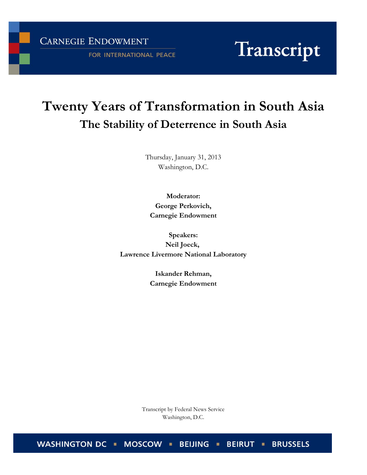CARNEGIE ENDOWMENT

FOR INTERNATIONAL PEACE

# Transcript

# **Twenty Years of Transformation in South Asia The Stability of Deterrence in South Asia**

Thursday, January 31, 2013 Washington, D.C.

**Moderator: George Perkovich, Carnegie Endowment**

**Speakers: Neil Joeck, Lawrence Livermore National Laboratory**

> **Iskander Rehman, Carnegie Endowment**

Transcript by Federal News Service Washington, D.C.

WASHINGTON DC . MOSCOW . BEIJING . **BRUSSELS BEIRUT**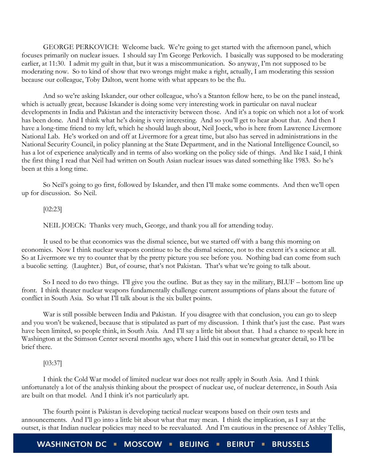GEORGE PERKOVICH: Welcome back. We're going to get started with the afternoon panel, which focuses primarily on nuclear issues. I should say I'm George Perkovich. I basically was supposed to be moderating earlier, at 11:30. I admit my guilt in that, but it was a miscommunication. So anyway, I'm not supposed to be moderating now. So to kind of show that two wrongs might make a right, actually, I am moderating this session because our colleague, Toby Dalton, went home with what appears to be the flu.

And so we're asking Iskander, our other colleague, who's a Stanton fellow here, to be on the panel instead, which is actually great, because Iskander is doing some very interesting work in particular on naval nuclear developments in India and Pakistan and the interactivity between those. And it's a topic on which not a lot of work has been done. And I think what he's doing is very interesting. And so you'll get to hear about that. And then I have a long-time friend to my left, which he should laugh about, Neil Joeck, who is here from Lawrence Livermore National Lab. He's worked on and off at Livermore for a great time, but also has served in administrations in the National Security Council, in policy planning at the State Department, and in the National Intelligence Council, so has a lot of experience analytically and in terms of also working on the policy side of things. And like I said, I think the first thing I read that Neil had written on South Asian nuclear issues was dated something like 1983. So he's been at this a long time.

So Neil's going to go first, followed by Iskander, and then I'll make some comments. And then we'll open up for discussion. So Neil.

# [02:23]

NEIL JOECK: Thanks very much, George, and thank you all for attending today.

It used to be that economics was the dismal science, but we started off with a bang this morning on economics. Now I think nuclear weapons continue to be the dismal science, not to the extent it's a science at all. So at Livermore we try to counter that by the pretty picture you see before you. Nothing bad can come from such a bucolic setting. (Laughter.) But, of course, that's not Pakistan. That's what we're going to talk about.

So I need to do two things. I'll give you the outline. But as they say in the military, BLUF – bottom line up front. I think theater nuclear weapons fundamentally challenge current assumptions of plans about the future of conflict in South Asia. So what I'll talk about is the six bullet points.

War is still possible between India and Pakistan. If you disagree with that conclusion, you can go to sleep and you won't be wakened, because that is stipulated as part of my discussion. I think that's just the case. Past wars have been limited, so people think, in South Asia. And I'll say a little bit about that. I had a chance to speak here in Washington at the Stimson Center several months ago, where I laid this out in somewhat greater detail, so I'll be brief there.

# [03:37]

I think the Cold War model of limited nuclear war does not really apply in South Asia. And I think unfortunately a lot of the analysis thinking about the prospect of nuclear use, of nuclear deterrence, in South Asia are built on that model. And I think it's not particularly apt.

The fourth point is Pakistan is developing tactical nuclear weapons based on their own tests and announcements. And I'll go into a little bit about what that may mean. I think the implication, as I say at the outset, is that Indian nuclear policies may need to be reevaluated. And I'm cautious in the presence of Ashley Tellis,

WASHINGTON DC · MOSCOW · BEIJING · **BRUSSELS BEIRUT .**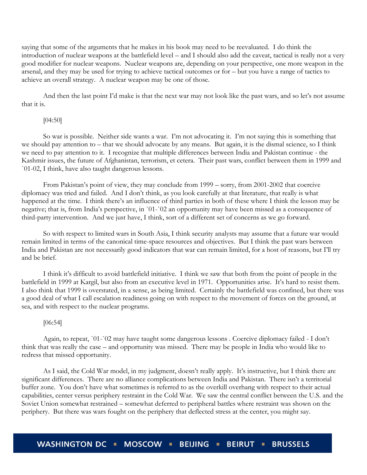saying that some of the arguments that he makes in his book may need to be reevaluated. I do think the introduction of nuclear weapons at the battlefield level – and I should also add the caveat, tactical is really not a very good modifier for nuclear weapons. Nuclear weapons are, depending on your perspective, one more weapon in the arsenal, and they may be used for trying to achieve tactical outcomes or for – but you have a range of tactics to achieve an overall strategy. A nuclear weapon may be one of those.

And then the last point I'd make is that the next war may not look like the past wars, and so let's not assume that it is.

# [04:50]

So war is possible. Neither side wants a war. I'm not advocating it. I'm not saying this is something that we should pay attention to – that we should advocate by any means. But again, it is the dismal science, so I think we need to pay attention to it. I recognize that multiple differences between India and Pakistan continue - the Kashmir issues, the future of Afghanistan, terrorism, et cetera. Their past wars, conflict between them in 1999 and `01-02, I think, have also taught dangerous lessons.

From Pakistan's point of view, they may conclude from 1999 – sorry, from 2001-2002 that coercive diplomacy was tried and failed. And I don't think, as you look carefully at that literature, that really is what happened at the time. I think there's an influence of third parties in both of these where I think the lesson may be negative; that is, from India's perspective, in `01-`02 an opportunity may have been missed as a consequence of third-party intervention. And we just have, I think, sort of a different set of concerns as we go forward.

So with respect to limited wars in South Asia, I think security analysts may assume that a future war would remain limited in terms of the canonical time-space resources and objectives. But I think the past wars between India and Pakistan are not necessarily good indicators that war can remain limited, for a host of reasons, but I'll try and be brief.

I think it's difficult to avoid battlefield initiative. I think we saw that both from the point of people in the battlefield in 1999 at Kargil, but also from an executive level in 1971. Opportunities arise. It's hard to resist them. I also think that 1999 is overstated, in a sense, as being limited. Certainly the battlefield was confined, but there was a good deal of what I call escalation readiness going on with respect to the movement of forces on the ground, at sea, and with respect to the nuclear programs.

# [06:54]

Again, to repeat, `01-`02 may have taught some dangerous lessons . Coercive diplomacy failed - I don't think that was really the case – and opportunity was missed. There may be people in India who would like to redress that missed opportunity.

As I said, the Cold War model, in my judgment, doesn't really apply. It's instructive, but I think there are significant differences. There are no alliance complications between India and Pakistan. There isn't a territorial buffer zone. You don't have what sometimes is referred to as the overkill overhang with respect to their actual capabilities, center versus periphery restraint in the Cold War. We saw the central conflict between the U.S. and the Soviet Union somewhat restrained – somewhat deferred to peripheral battles where restraint was shown on the periphery. But there was wars fought on the periphery that deflected stress at the center, you might say.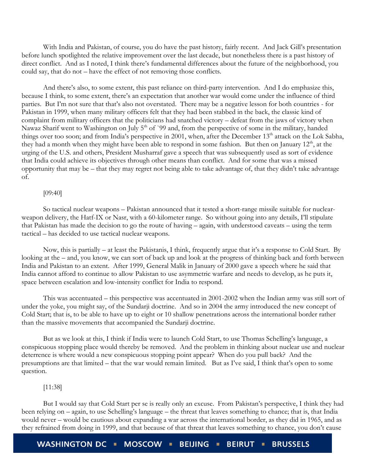With India and Pakistan, of course, you do have the past history, fairly recent. And Jack Gill's presentation before lunch spotlighted the relative improvement over the last decade, but nonetheless there is a past history of direct conflict. And as I noted, I think there's fundamental differences about the future of the neighborhood, you could say, that do not – have the effect of not removing those conflicts.

And there's also, to some extent, this past reliance on third-party intervention. And I do emphasize this, because I think, to some extent, there's an expectation that another war would come under the influence of third parties. But I'm not sure that that's also not overstated. There may be a negative lesson for both countries - for Pakistan in 1999, when many military officers felt that they had been stabbed in the back, the classic kind of complaint from military officers that the politicians had snatched victory – defeat from the jaws of victory when Nawaz Sharif went to Washington on July 5<sup>th</sup> of `99 and, from the perspective of some in the military, handed things over too soon; and from India's perspective in 2001, when, after the December 13<sup>th</sup> attack on the Lok Sabha, they had a month when they might have been able to respond in some fashion. But then on January 12<sup>th</sup>, at the urging of the U.S. and others, President Musharraf gave a speech that was subsequently used as sort of evidence that India could achieve its objectives through other means than conflict. And for some that was a missed opportunity that may be – that they may regret not being able to take advantage of, that they didn't take advantage of.

#### [09:40]

So tactical nuclear weapons – Pakistan announced that it tested a short-range missile suitable for nuclearweapon delivery, the Hatf-IX or Nasr, with a 60-kilometer range. So without going into any details, I'll stipulate that Pakistan has made the decision to go the route of having – again, with understood caveats – using the term tactical – has decided to use tactical nuclear weapons.

Now, this is partially – at least the Pakistanis, I think, frequently argue that it's a response to Cold Start. By looking at the – and, you know, we can sort of back up and look at the progress of thinking back and forth between India and Pakistan to an extent. After 1999, General Malik in January of 2000 gave a speech where he said that India cannot afford to continue to allow Pakistan to use asymmetric warfare and needs to develop, as he puts it, space between escalation and low-intensity conflict for India to respond.

This was accentuated – this perspective was accentuated in 2001-2002 when the Indian army was still sort of under the yoke, you might say, of the Sundarji doctrine. And so in 2004 the army introduced the new concept of Cold Start; that is, to be able to have up to eight or 10 shallow penetrations across the international border rather than the massive movements that accompanied the Sundarji doctrine.

But as we look at this, I think if India were to launch Cold Start, to use Thomas Schelling's language, a conspicuous stopping place would thereby be removed. And the problem in thinking about nuclear use and nuclear deterrence is where would a new conspicuous stopping point appear? When do you pull back? And the presumptions are that limited – that the war would remain limited. But as I've said, I think that's open to some question.

# [11:38]

But I would say that Cold Start per se is really only an excuse. From Pakistan's perspective, I think they had been relying on – again, to use Schelling's language – the threat that leaves something to chance; that is, that India would never – would be cautious about expanding a war across the international border, as they did in 1965, and as they refrained from doing in 1999, and that because of that threat that leaves something to chance, you don't cause

WASHINGTON DC · MOSCOW · BEIJING · **BEIRUT = BRUSSELS**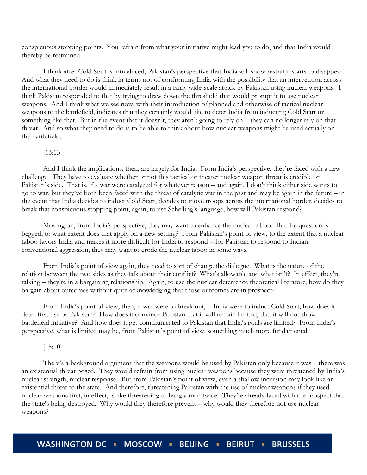conspicuous stopping points. You refrain from what your initiative might lead you to do, and that India would thereby be restrained.

I think after Cold Start is introduced, Pakistan's perspective that India will show restraint starts to disappear. And what they need to do is think in terms not of confronting India with the possibility that an intervention across the international border would immediately result in a fairly wide-scale attack by Pakistan using nuclear weapons. I think Pakistan responded to that by trying to draw down the threshold that would prompt it to use nuclear weapons. And I think what we see now, with their introduction of planned and otherwise of tactical nuclear weapons to the battlefield, indicates that they certainly would like to deter India from inducting Cold Start or something like that. But in the event that it doesn't, they aren't going to rely on – they can no longer rely on that threat. And so what they need to do is to be able to think about how nuclear weapons might be used actually on the battlefield.

#### [13:13]

And I think the implications, then, are largely for India. From India's perspective, they're faced with a new challenge. They have to evaluate whether or not this tactical or theater nuclear weapon threat is credible on Pakistan's side. That is, if a war were catalyzed for whatever reason – and again, I don't think either side wants to go to war, but they've both been faced with the threat of catalytic war in the past and may be again in the future – in the event that India decides to induct Cold Start, decides to move troops across the international border, decides to break that conspicuous stopping point, again, to use Schelling's language, how will Pakistan respond?

Moving on, from India's perspective, they may want to enhance the nuclear taboo. But the question is begged, to what extent does that apply on a new setting? From Pakistan's point of view, to the extent that a nuclear taboo favors India and makes it more difficult for India to respond – for Pakistan to respond to Indian conventional aggression, they may want to erode the nuclear taboo in some ways.

From India's point of view again, they need to sort of change the dialogue. What is the nature of the relation between the two sides as they talk about their conflict? What's allowable and what isn't? In effect, they're talking – they're in a bargaining relationship. Again, to use the nuclear deterrence theoretical literature, how do they bargain about outcomes without quite acknowledging that those outcomes are in prospect?

From India's point of view, then, if war were to break out, if India were to induct Cold Start, how does it deter first use by Pakistan? How does it convince Pakistan that it will remain limited, that it will not show battlefield initiative? And how does it get communicated to Pakistan that India's goals are limited? From India's perspective, what is limited may be, from Pakistan's point of view, something much more fundamental.

# [15:10]

There's a background argument that the weapons would be used by Pakistan only because it was – there was an existential threat posed. They would refrain from using nuclear weapons because they were threatened by India's nuclear strength, nuclear response. But from Pakistan's point of view, even a shallow incursion may look like an existential threat to the state. And therefore, threatening Pakistan with the use of nuclear weapons if they used nuclear weapons first, in effect, is like threatening to hang a man twice. They're already faced with the prospect that the state's being destroyed. Why would they therefore prevent – why would they therefore not use nuclear weapons?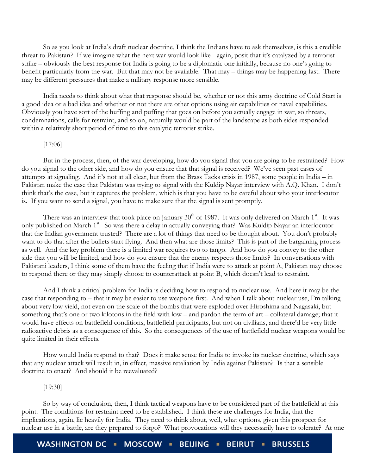So as you look at India's draft nuclear doctrine, I think the Indians have to ask themselves, is this a credible threat to Pakistan? If we imagine what the next war would look like - again, posit that it's catalyzed by a terrorist strike – obviously the best response for India is going to be a diplomatic one initially, because no one's going to benefit particularly from the war. But that may not be available. That may – things may be happening fast. There may be different pressures that make a military response more sensible.

India needs to think about what that response should be, whether or not this army doctrine of Cold Start is a good idea or a bad idea and whether or not there are other options using air capabilities or naval capabilities. Obviously you have sort of the huffing and puffing that goes on before you actually engage in war, so threats, condemnations, calls for restraint, and so on, naturally would be part of the landscape as both sides responded within a relatively short period of time to this catalytic terrorist strike.

#### [17:06]

But in the process, then, of the war developing, how do you signal that you are going to be restrained? How do you signal to the other side, and how do you ensure that that signal is received? We've seen past cases of attempts at signaling. And it's not at all clear, but from the Brass Tacks crisis in 1987, some people in India – in Pakistan make the case that Pakistan was trying to signal with the Kuldip Nayar interview with A.Q. Khan. I don't think that's the case, but it captures the problem, which is that you have to be careful about who your interlocutor is. If you want to send a signal, you have to make sure that the signal is sent promptly.

There was an interview that took place on January  $30<sup>th</sup>$  of 1987. It was only delivered on March  $1<sup>st</sup>$ . It was only published on March 1<sup>st</sup>. So was there a delay in actually conveying that? Was Kuldip Nayar an interlocutor that the Indian government trusted? There are a lot of things that need to be thought about. You don't probably want to do that after the bullets start flying. And then what are those limits? This is part of the bargaining process as well. And the key problem there is a limited war requires two to tango. And how do you convey to the other side that you will be limited, and how do you ensure that the enemy respects those limits? In conversations with Pakistani leaders, I think some of them have the feeling that if India were to attack at point A, Pakistan may choose to respond there or they may simply choose to counterattack at point B, which doesn't lead to restraint.

And I think a critical problem for India is deciding how to respond to nuclear use. And here it may be the case that responding to – that it may be easier to use weapons first. And when I talk about nuclear use, I'm talking about very low yield, not even on the scale of the bombs that were exploded over Hiroshima and Nagasaki, but something that's one or two kilotons in the field with low – and pardon the term of art – collateral damage; that it would have effects on battlefield conditions, battlefield participants, but not on civilians, and there'd be very little radioactive debris as a consequence of this. So the consequences of the use of battlefield nuclear weapons would be quite limited in their effects.

How would India respond to that? Does it make sense for India to invoke its nuclear doctrine, which says that any nuclear attack will result in, in effect, massive retaliation by India against Pakistan? Is that a sensible doctrine to enact? And should it be reevaluated?

#### [19:30]

So by way of conclusion, then, I think tactical weapons have to be considered part of the battlefield at this point. The conditions for restraint need to be established. I think these are challenges for India, that the implications, again, lie heavily for India. They need to think about, well, what options, given this prospect for nuclear use in a battle, are they prepared to forgo? What provocations will they necessarily have to tolerate? At one

**WASHINGTON DC** MOSCOW BEIJING -**BRUSSELS BEIRUT =**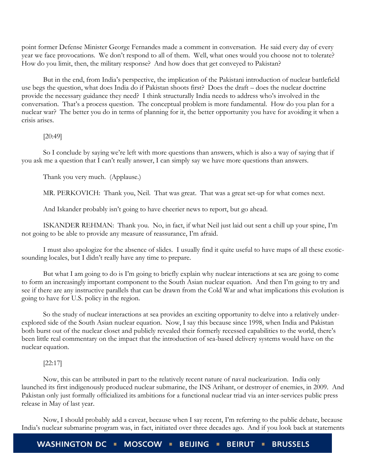point former Defense Minister George Fernandes made a comment in conversation. He said every day of every year we face provocations. We don't respond to all of them. Well, what ones would you choose not to tolerate? How do you limit, then, the military response? And how does that get conveyed to Pakistan?

But in the end, from India's perspective, the implication of the Pakistani introduction of nuclear battlefield use begs the question, what does India do if Pakistan shoots first? Does the draft – does the nuclear doctrine provide the necessary guidance they need? I think structurally India needs to address who's involved in the conversation. That's a process question. The conceptual problem is more fundamental. How do you plan for a nuclear war? The better you do in terms of planning for it, the better opportunity you have for avoiding it when a crisis arises.

[20:49]

So I conclude by saying we're left with more questions than answers, which is also a way of saying that if you ask me a question that I can't really answer, I can simply say we have more questions than answers.

Thank you very much. (Applause.)

MR. PERKOVICH: Thank you, Neil. That was great. That was a great set-up for what comes next.

And Iskander probably isn't going to have cheerier news to report, but go ahead.

ISKANDER REHMAN: Thank you. No, in fact, if what Neil just laid out sent a chill up your spine, I'm not going to be able to provide any measure of reassurance, I'm afraid.

I must also apologize for the absence of slides. I usually find it quite useful to have maps of all these exoticsounding locales, but I didn't really have any time to prepare.

But what I am going to do is I'm going to briefly explain why nuclear interactions at sea are going to come to form an increasingly important component to the South Asian nuclear equation. And then I'm going to try and see if there are any instructive parallels that can be drawn from the Cold War and what implications this evolution is going to have for U.S. policy in the region.

So the study of nuclear interactions at sea provides an exciting opportunity to delve into a relatively underexplored side of the South Asian nuclear equation. Now, I say this because since 1998, when India and Pakistan both burst out of the nuclear closet and publicly revealed their formerly recessed capabilities to the world, there's been little real commentary on the impact that the introduction of sea-based delivery systems would have on the nuclear equation.

# [22:17]

Now, this can be attributed in part to the relatively recent nature of naval nuclearization. India only launched its first indigenously produced nuclear submarine, the INS Arihant, or destroyer of enemies, in 2009. And Pakistan only just formally officialized its ambitions for a functional nuclear triad via an inter-services public press release in May of last year.

Now, I should probably add a caveat, because when I say recent, I'm referring to the public debate, because India's nuclear submarine program was, in fact, initiated over three decades ago. And if you look back at statements

**WASHINGTON DC** MOSCOW = BEIJING = **BEIRUT BRUSSELS**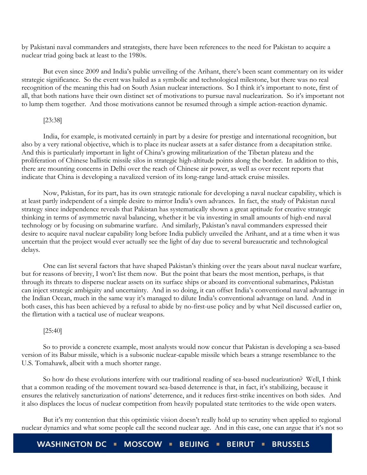by Pakistani naval commanders and strategists, there have been references to the need for Pakistan to acquire a nuclear triad going back at least to the 1980s.

But even since 2009 and India's public unveiling of the Arihant, there's been scant commentary on its wider strategic significance. So the event was hailed as a symbolic and technological milestone, but there was no real recognition of the meaning this had on South Asian nuclear interactions. So I think it's important to note, first of all, that both nations have their own distinct set of motivations to pursue naval nuclearization. So it's important not to lump them together. And those motivations cannot be resumed through a simple action-reaction dynamic.

# [23:38]

India, for example, is motivated certainly in part by a desire for prestige and international recognition, but also by a very rational objective, which is to place its nuclear assets at a safer distance from a decapitation strike. And this is particularly important in light of China's growing militarization of the Tibetan plateau and the proliferation of Chinese ballistic missile silos in strategic high-altitude points along the border. In addition to this, there are mounting concerns in Delhi over the reach of Chinese air power, as well as over recent reports that indicate that China is developing a navalized version of its long-range land-attack cruise missiles.

Now, Pakistan, for its part, has its own strategic rationale for developing a naval nuclear capability, which is at least partly independent of a simple desire to mirror India's own advances. In fact, the study of Pakistan naval strategy since independence reveals that Pakistan has systematically shown a great aptitude for creative strategic thinking in terms of asymmetric naval balancing, whether it be via investing in small amounts of high-end naval technology or by focusing on submarine warfare. And similarly, Pakistan's naval commanders expressed their desire to acquire naval nuclear capability long before India publicly unveiled the Arihant, and at a time when it was uncertain that the project would ever actually see the light of day due to several bureaucratic and technological delays.

One can list several factors that have shaped Pakistan's thinking over the years about naval nuclear warfare, but for reasons of brevity, I won't list them now. But the point that bears the most mention, perhaps, is that through its threats to disperse nuclear assets on its surface ships or aboard its conventional submarines, Pakistan can inject strategic ambiguity and uncertainty. And in so doing, it can offset India's conventional naval advantage in the Indian Ocean, much in the same way it's managed to dilute India's conventional advantage on land. And in both cases, this has been achieved by a refusal to abide by no-first-use policy and by what Neil discussed earlier on, the flirtation with a tactical use of nuclear weapons.

#### [25:40]

So to provide a concrete example, most analysts would now concur that Pakistan is developing a sea-based version of its Babur missile, which is a subsonic nuclear-capable missile which bears a strange resemblance to the U.S. Tomahawk, albeit with a much shorter range.

So how do these evolutions interfere with our traditional reading of sea-based nuclearization? Well, I think that a common reading of the movement toward sea-based deterrence is that, in fact, it's stabilizing, because it ensures the relatively sancturization of nations' deterrence, and it reduces first-strike incentives on both sides. And it also displaces the locus of nuclear competition from heavily populated state territories to the wide open waters.

But it's my contention that this optimistic vision doesn't really hold up to scrutiny when applied to regional nuclear dynamics and what some people call the second nuclear age. And in this case, one can argue that it's not so

WASHINGTON DC · MOSCOW · BEIJING · **BEIRUT = BRUSSELS**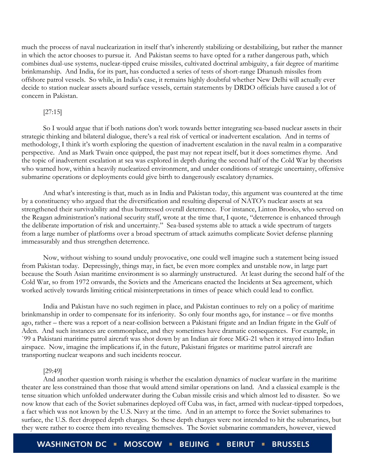much the process of naval nuclearization in itself that's inherently stabilizing or destabilizing, but rather the manner in which the actor chooses to pursue it. And Pakistan seems to have opted for a rather dangerous path, which combines dual-use systems, nuclear-tipped cruise missiles, cultivated doctrinal ambiguity, a fair degree of maritime brinkmanship. And India, for its part, has conducted a series of tests of short-range Dhanush missiles from offshore patrol vessels. So while, in India's case, it remains highly doubtful whether New Delhi will actually ever decide to station nuclear assets aboard surface vessels, certain statements by DRDO officials have caused a lot of concern in Pakistan.

# [27:15]

So I would argue that if both nations don't work towards better integrating sea-based nuclear assets in their strategic thinking and bilateral dialogue, there's a real risk of vertical or inadvertent escalation. And in terms of methodology, I think it's worth exploring the question of inadvertent escalation in the naval realm in a comparative perspective. And as Mark Twain once quipped, the past may not repeat itself, but it does sometimes rhyme. And the topic of inadvertent escalation at sea was explored in depth during the second half of the Cold War by theorists who warned how, within a heavily nuclearized environment, and under conditions of strategic uncertainty, offensive submarine operations or deployments could give birth to dangerously escalatory dynamics.

And what's interesting is that, much as in India and Pakistan today, this argument was countered at the time by a constituency who argued that the diversification and resulting dispersal of NATO's nuclear assets at sea strengthened their survivability and thus buttressed overall deterrence. For instance, Linton Brooks, who served on the Reagan administration's national security staff, wrote at the time that, I quote, "deterrence is enhanced through the deliberate importation of risk and uncertainty." Sea-based systems able to attack a wide spectrum of targets from a large number of platforms over a broad spectrum of attack azimuths complicate Soviet defense planning immeasurably and thus strengthen deterrence.

Now, without wishing to sound unduly provocative, one could well imagine such a statement being issued from Pakistan today. Depressingly, things may, in fact, be even more complex and unstable now, in large part because the South Asian maritime environment is so alarmingly unstructured. At least during the second half of the Cold War, so from 1972 onwards, the Soviets and the Americans enacted the Incidents at Sea agreement, which worked actively towards limiting critical misinterpretations in times of peace which could lead to conflict.

India and Pakistan have no such regimen in place, and Pakistan continues to rely on a policy of maritime brinkmanship in order to compensate for its inferiority. So only four months ago, for instance – or five months ago, rather – there was a report of a near-collision between a Pakistani frigate and an Indian frigate in the Gulf of Aden. And such instances are commonplace, and they sometimes have dramatic consequences. For example, in `99 a Pakistani maritime patrol aircraft was shot down by an Indian air force MiG-21 when it strayed into Indian airspace. Now, imagine the implications if, in the future, Pakistani frigates or maritime patrol aircraft are transporting nuclear weapons and such incidents reoccur.

#### [29:49]

And another question worth raising is whether the escalation dynamics of nuclear warfare in the maritime theater are less constrained than those that would attend similar operations on land. And a classical example is the tense situation which unfolded underwater during the Cuban missile crisis and which almost led to disaster. So we now know that each of the Soviet submarines deployed off Cuba was, in fact, armed with nuclear-tipped torpedoes, a fact which was not known by the U.S. Navy at the time. And in an attempt to force the Soviet submarines to surface, the U.S. fleet dropped depth charges. So these depth charges were not intended to hit the submarines, but they were rather to coerce them into revealing themselves. The Soviet submarine commanders, however, viewed

**WASHINGTON DC** MOSCOW **I BEIJING BEIRUT = BRUSSELS**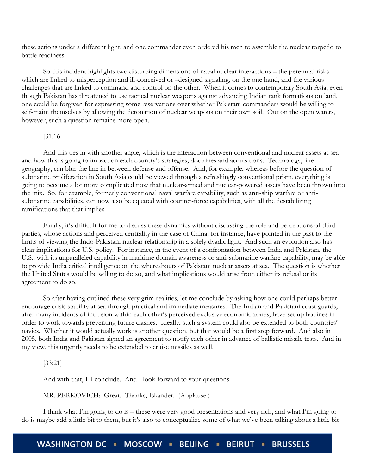these actions under a different light, and one commander even ordered his men to assemble the nuclear torpedo to battle readiness.

So this incident highlights two disturbing dimensions of naval nuclear interactions – the perennial risks which are linked to misperception and ill-conceived or –designed signaling, on the one hand, and the various challenges that are linked to command and control on the other. When it comes to contemporary South Asia, even though Pakistan has threatened to use tactical nuclear weapons against advancing Indian tank formations on land, one could be forgiven for expressing some reservations over whether Pakistani commanders would be willing to self-maim themselves by allowing the detonation of nuclear weapons on their own soil. Out on the open waters, however, such a question remains more open.

# [31:16]

And this ties in with another angle, which is the interaction between conventional and nuclear assets at sea and how this is going to impact on each country's strategies, doctrines and acquisitions. Technology, like geography, can blur the line in between defense and offense. And, for example, whereas before the question of submarine proliferation in South Asia could be viewed through a refreshingly conventional prism, everything is going to become a lot more complicated now that nuclear-armed and nuclear-powered assets have been thrown into the mix. So, for example, formerly conventional naval warfare capability, such as anti-ship warfare or antisubmarine capabilities, can now also be equated with counter-force capabilities, with all the destabilizing ramifications that that implies.

Finally, it's difficult for me to discuss these dynamics without discussing the role and perceptions of third parties, whose actions and perceived centrality in the case of China, for instance, have pointed in the past to the limits of viewing the Indo-Pakistani nuclear relationship in a solely dyadic light. And such an evolution also has clear implications for U.S. policy. For instance, in the event of a confrontation between India and Pakistan, the U.S., with its unparalleled capability in maritime domain awareness or anti-submarine warfare capability, may be able to provide India critical intelligence on the whereabouts of Pakistani nuclear assets at sea. The question is whether the United States would be willing to do so, and what implications would arise from either its refusal or its agreement to do so.

So after having outlined these very grim realities, let me conclude by asking how one could perhaps better encourage crisis stability at sea through practical and immediate measures. The Indian and Pakistani coast guards, after many incidents of intrusion within each other's perceived exclusive economic zones, have set up hotlines in order to work towards preventing future clashes. Ideally, such a system could also be extended to both countries' navies. Whether it would actually work is another question, but that would be a first step forward. And also in 2005, both India and Pakistan signed an agreement to notify each other in advance of ballistic missile tests. And in my view, this urgently needs to be extended to cruise missiles as well.

# [33:21]

And with that, I'll conclude. And I look forward to your questions.

MR. PERKOVICH: Great. Thanks, Iskander. (Applause.)

I think what I'm going to do is – these were very good presentations and very rich, and what I'm going to do is maybe add a little bit to them, but it's also to conceptualize some of what we've been talking about a little bit

**WASHINGTON DC** MOSCOW **BEIJING BEIRUT = BRUSSELS**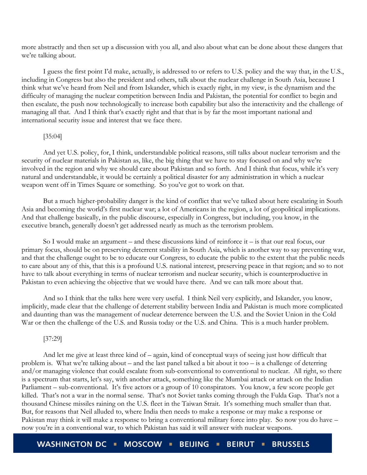more abstractly and then set up a discussion with you all, and also about what can be done about these dangers that we're talking about.

I guess the first point I'd make, actually, is addressed to or refers to U.S. policy and the way that, in the U.S., including in Congress but also the president and others, talk about the nuclear challenge in South Asia, because I think what we've heard from Neil and from Iskander, which is exactly right, in my view, is the dynamism and the difficulty of managing the nuclear competition between India and Pakistan, the potential for conflict to begin and then escalate, the push now technologically to increase both capability but also the interactivity and the challenge of managing all that. And I think that's exactly right and that that is by far the most important national and international security issue and interest that we face there.

# [35:04]

And yet U.S. policy, for, I think, understandable political reasons, still talks about nuclear terrorism and the security of nuclear materials in Pakistan as, like, the big thing that we have to stay focused on and why we're involved in the region and why we should care about Pakistan and so forth. And I think that focus, while it's very natural and understandable, it would be certainly a political disaster for any administration in which a nuclear weapon went off in Times Square or something. So you've got to work on that.

But a much higher-probability danger is the kind of conflict that we've talked about here escalating in South Asia and becoming the world's first nuclear war; a lot of Americans in the region, a lot of geopolitical implications. And that challenge basically, in the public discourse, especially in Congress, but including, you know, in the executive branch, generally doesn't get addressed nearly as much as the terrorism problem.

So I would make an argument – and these discussions kind of reinforce it – is that our real focus, our primary focus, should be on preserving deterrent stability in South Asia, which is another way to say preventing war, and that the challenge ought to be to educate our Congress, to educate the public to the extent that the public needs to care about any of this, that this is a profound U.S. national interest, preserving peace in that region; and so to not have to talk about everything in terms of nuclear terrorism and nuclear security, which is counterproductive in Pakistan to even achieving the objective that we would have there. And we can talk more about that.

And so I think that the talks here were very useful. I think Neil very explicitly, and Iskander, you know, implicitly, made clear that the challenge of deterrent stability between India and Pakistan is much more complicated and daunting than was the management of nuclear deterrence between the U.S. and the Soviet Union in the Cold War or then the challenge of the U.S. and Russia today or the U.S. and China. This is a much harder problem.

#### [37:29]

And let me give at least three kind of – again, kind of conceptual ways of seeing just how difficult that problem is. What we're talking about – and the last panel talked a bit about it too – is a challenge of deterring and/or managing violence that could escalate from sub-conventional to conventional to nuclear. All right, so there is a spectrum that starts, let's say, with another attack, something like the Mumbai attack or attack on the Indian Parliament – sub-conventional. It's five actors or a group of 10 conspirators. You know, a few score people get killed. That's not a war in the normal sense. That's not Soviet tanks coming through the Fulda Gap. That's not a thousand Chinese missiles raining on the U.S. fleet in the Taiwan Strait. It's something much smaller than that. But, for reasons that Neil alluded to, where India then needs to make a response or may make a response or Pakistan may think it will make a response to bring a conventional military force into play. So now you do have – now you're in a conventional war, to which Pakistan has said it will answer with nuclear weapons.

**WASHINGTON DC MOSCOW - BEIJING -BRUSSELS BEIRUT =**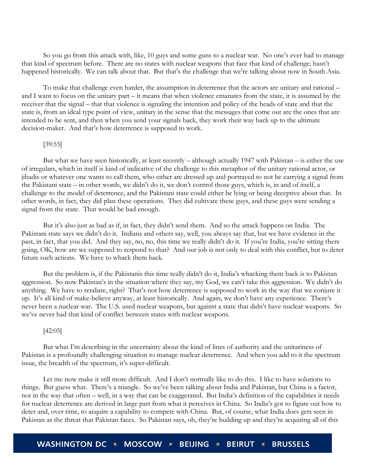So you go from this attack with, like, 10 guys and some guns to a nuclear war. No one's ever had to manage that kind of spectrum before. There are no states with nuclear weapons that face that kind of challenge; hasn't happened historically. We can talk about that. But that's the challenge that we're talking about now in South Asia.

To make that challenge even harder, the assumption in deterrence that the actors are unitary and rational – and I want to focus on the unitary part – it means that when violence emanates from the state, it is assumed by the receiver that the signal – that that violence is signaling the intention and policy of the heads of state and that the state is, from an ideal type point of view, unitary in the sense that the messages that come out are the ones that are intended to be sent, and then when you send your signals back, they work their way back up to the ultimate decision-maker. And that's how deterrence is supposed to work.

# [39:55]

But what we have seen historically, at least recently – although actually 1947 with Pakistan – is either the use of irregulars, which in itself is kind of indicative of the challenge to this metaphor of the unitary rational actor, or jihadis or whatever one wants to call them, who either are dressed up and portrayed to not be carrying a signal from the Pakistani state – in other words, we didn't do it, we don't control those guys, which is, in and of itself, a challenge to the model of deterrence, and the Pakistani state could either be lying or being deceptive about that. In other words, in fact, they did plan these operations. They did cultivate these guys, and these guys were sending a signal from the state. That would be bad enough.

But it's also just as bad as if, in fact, they didn't send them. And so the attack happens on India. The Pakistani state says we didn't do it. Indians and others say, well, you always say that, but we have evidence in the past, in fact, that you did. And they say, no, no, this time we really didn't do it. If you're India, you're sitting there going, OK, how are we supposed to respond to that? And our job is not only to deal with this conflict, but to deter future such actions. We have to whack them back.

But the problem is, if the Pakistanis this time really didn't do it, India's whacking them back is to Pakistan aggression. So now Pakistan's in the situation where they say, my God, we can't take this aggression. We didn't do anything. We have to retaliate, right? That's not how deterrence is supposed to work in the way that we conjure it up. It's all kind of make-believe anyway, at least historically. And again, we don't have any experience. There's never been a nuclear war. The U.S. used nuclear weapons, but against a state that didn't have nuclear weapons. So we've never had that kind of conflict between states with nuclear weapons.

#### [42:05]

But what I'm describing in the uncertainty about the kind of lines of authority and the unitariness of Pakistan is a profoundly challenging situation to manage nuclear deterrence. And when you add to it the spectrum issue, the breadth of the spectrum, it's super-difficult.

Let me now make it still more difficult. And I don't normally like to do this. I like to have solutions to things. But guess what. There's a triangle. So we've been talking about India and Pakistan, but China is a factor, not in the way that often – well, in a way that can be exaggerated. But India's definition of the capabilities it needs for nuclear deterrence are derived in large part from what it perceives in China. So India's got to figure out how to deter and, over time, to acquire a capability to compete with China. But, of course, what India does gets seen in Pakistan as the threat that Pakistan faces. So Pakistan says, oh, they're building up and they're acquiring all of this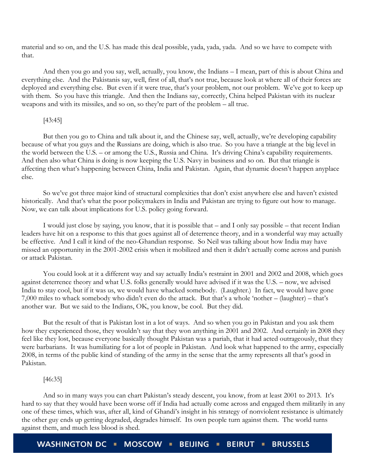material and so on, and the U.S. has made this deal possible, yada, yada, yada. And so we have to compete with that.

And then you go and you say, well, actually, you know, the Indians – I mean, part of this is about China and everything else. And the Pakistanis say, well, first of all, that's not true, because look at where all of their forces are deployed and everything else. But even if it were true, that's your problem, not our problem. We've got to keep up with them. So you have this triangle. And then the Indians say, correctly, China helped Pakistan with its nuclear weapons and with its missiles, and so on, so they're part of the problem – all true.

#### [43:45]

But then you go to China and talk about it, and the Chinese say, well, actually, we're developing capability because of what you guys and the Russians are doing, which is also true. So you have a triangle at the big level in the world between the U.S. – or among the U.S., Russia and China. It's driving China's capability requirements. And then also what China is doing is now keeping the U.S. Navy in business and so on. But that triangle is affecting then what's happening between China, India and Pakistan. Again, that dynamic doesn't happen anyplace else.

So we've got three major kind of structural complexities that don't exist anywhere else and haven't existed historically. And that's what the poor policymakers in India and Pakistan are trying to figure out how to manage. Now, we can talk about implications for U.S. policy going forward.

I would just close by saying, you know, that it is possible that – and I only say possible – that recent Indian leaders have hit on a response to this that goes against all of deterrence theory, and in a wonderful way may actually be effective. And I call it kind of the neo-Ghandian response. So Neil was talking about how India may have missed an opportunity in the 2001-2002 crisis when it mobilized and then it didn't actually come across and punish or attack Pakistan.

You could look at it a different way and say actually India's restraint in 2001 and 2002 and 2008, which goes against deterrence theory and what U.S. folks generally would have advised if it was the U.S. – now, we advised India to stay cool, but if it was us, we would have whacked somebody. (Laughter.) In fact, we would have gone 7,000 miles to whack somebody who didn't even do the attack. But that's a whole 'nother – (laughter) – that's another war. But we said to the Indians, OK, you know, be cool. But they did.

But the result of that is Pakistan lost in a lot of ways. And so when you go in Pakistan and you ask them how they experienced those, they wouldn't say that they won anything in 2001 and 2002. And certainly in 2008 they feel like they lost, because everyone basically thought Pakistan was a pariah, that it had acted outrageously, that they were barbarians. It was humiliating for a lot of people in Pakistan. And look what happened to the army, especially 2008, in terms of the public kind of standing of the army in the sense that the army represents all that's good in Pakistan.

# [46:35]

And so in many ways you can chart Pakistan's steady descent, you know, from at least 2001 to 2013. It's hard to say that they would have been worse off if India had actually come across and engaged them militarily in any one of these times, which was, after all, kind of Ghandi's insight in his strategy of nonviolent resistance is ultimately the other guy ends up getting degraded, degrades himself. Its own people turn against them. The world turns against them, and much less blood is shed.

**WASHINGTON DC** MOSCOW = BEIJING = **BRUSSELS BEIRUT =**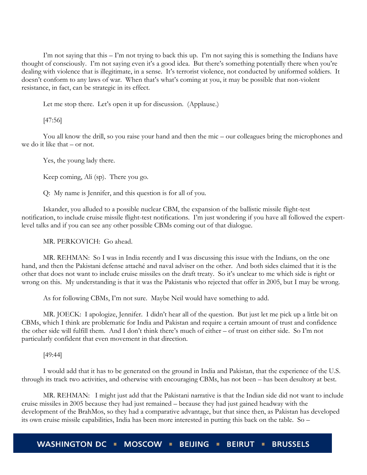I'm not saying that this – I'm not trying to back this up. I'm not saying this is something the Indians have thought of consciously. I'm not saying even it's a good idea. But there's something potentially there when you're dealing with violence that is illegitimate, in a sense. It's terrorist violence, not conducted by uniformed soldiers. It doesn't conform to any laws of war. When that's what's coming at you, it may be possible that non-violent resistance, in fact, can be strategic in its effect.

Let me stop there. Let's open it up for discussion. (Applause.)

[47:56]

You all know the drill, so you raise your hand and then the mic – our colleagues bring the microphones and we do it like that – or not.

Yes, the young lady there.

Keep coming, Ali (sp). There you go.

Q: My name is Jennifer, and this question is for all of you.

Iskander, you alluded to a possible nuclear CBM, the expansion of the ballistic missile flight-test notification, to include cruise missile flight-test notifications. I'm just wondering if you have all followed the expertlevel talks and if you can see any other possible CBMs coming out of that dialogue.

MR. PERKOVICH: Go ahead.

MR. REHMAN: So I was in India recently and I was discussing this issue with the Indians, on the one hand, and then the Pakistani defense attaché and naval adviser on the other. And both sides claimed that it is the other that does not want to include cruise missiles on the draft treaty. So it's unclear to me which side is right or wrong on this. My understanding is that it was the Pakistanis who rejected that offer in 2005, but I may be wrong.

As for following CBMs, I'm not sure. Maybe Neil would have something to add.

MR. JOECK: I apologize, Jennifer. I didn't hear all of the question. But just let me pick up a little bit on CBMs, which I think are problematic for India and Pakistan and require a certain amount of trust and confidence the other side will fulfill them. And I don't think there's much of either – of trust on either side. So I'm not particularly confident that even movement in that direction.

[49:44]

I would add that it has to be generated on the ground in India and Pakistan, that the experience of the U.S. through its track two activities, and otherwise with encouraging CBMs, has not been – has been desultory at best.

MR. REHMAN: I might just add that the Pakistani narrative is that the Indian side did not want to include cruise missiles in 2005 because they had just remained – because they had just gained headway with the development of the BrahMos, so they had a comparative advantage, but that since then, as Pakistan has developed its own cruise missile capabilities, India has been more interested in putting this back on the table. So –

WASHINGTON DC . MOSCOW . BEIJING . **BRUSSELS BEIRUT .**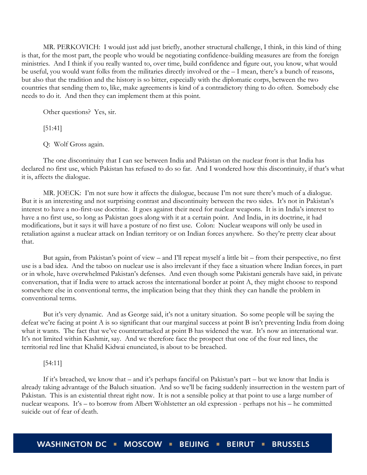MR. PERKOVICH: I would just add just briefly, another structural challenge, I think, in this kind of thing is that, for the most part, the people who would be negotiating confidence-building measures are from the foreign ministries. And I think if you really wanted to, over time, build confidence and figure out, you know, what would be useful, you would want folks from the militaries directly involved or the – I mean, there's a bunch of reasons, but also that the tradition and the history is so bitter, especially with the diplomatic corps, between the two countries that sending them to, like, make agreements is kind of a contradictory thing to do often. Somebody else needs to do it. And then they can implement them at this point.

Other questions? Yes, sir.

[51:41]

Q: Wolf Gross again.

The one discontinuity that I can see between India and Pakistan on the nuclear front is that India has declared no first use, which Pakistan has refused to do so far. And I wondered how this discontinuity, if that's what it is, affects the dialogue.

MR. JOECK: I'm not sure how it affects the dialogue, because I'm not sure there's much of a dialogue. But it is an interesting and not surprising contrast and discontinuity between the two sides. It's not in Pakistan's interest to have a no-first-use doctrine. It goes against their need for nuclear weapons. It is in India's interest to have a no first use, so long as Pakistan goes along with it at a certain point. And India, in its doctrine, it had modifications, but it says it will have a posture of no first use. Colon: Nuclear weapons will only be used in retaliation against a nuclear attack on Indian territory or on Indian forces anywhere. So they're pretty clear about that.

But again, from Pakistan's point of view – and I'll repeat myself a little bit – from their perspective, no first use is a bad idea. And the taboo on nuclear use is also irrelevant if they face a situation where Indian forces, in part or in whole, have overwhelmed Pakistan's defenses. And even though some Pakistani generals have said, in private conversation, that if India were to attack across the international border at point A, they might choose to respond somewhere else in conventional terms, the implication being that they think they can handle the problem in conventional terms.

But it's very dynamic. And as George said, it's not a unitary situation. So some people will be saying the defeat we're facing at point A is so significant that our marginal success at point B isn't preventing India from doing what it wants. The fact that we've counterattacked at point B has widened the war. It's now an international war. It's not limited within Kashmir, say. And we therefore face the prospect that one of the four red lines, the territorial red line that Khalid Kidwai enunciated, is about to be breached.

# [54:11]

If it's breached, we know that – and it's perhaps fanciful on Pakistan's part – but we know that India is already taking advantage of the Baluch situation. And so we'll be facing suddenly insurrection in the western part of Pakistan. This is an existential threat right now. It is not a sensible policy at that point to use a large number of nuclear weapons. It's – to borrow from Albert Wohlstetter an old expression - perhaps not his – he committed suicide out of fear of death.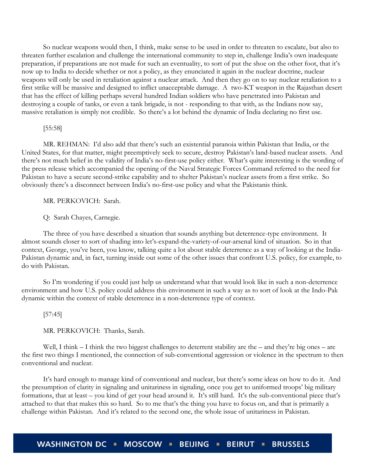So nuclear weapons would then, I think, make sense to be used in order to threaten to escalate, but also to threaten further escalation and challenge the international community to step in, challenge India's own inadequate preparation, if preparations are not made for such an eventuality, to sort of put the shoe on the other foot, that it's now up to India to decide whether or not a policy, as they enunciated it again in the nuclear doctrine, nuclear weapons will only be used in retaliation against a nuclear attack. And then they go on to say nuclear retaliation to a first strike will be massive and designed to inflict unacceptable damage. A two-KT weapon in the Rajasthan desert that has the effect of killing perhaps several hundred Indian soldiers who have penetrated into Pakistan and destroying a couple of tanks, or even a tank brigade, is not - responding to that with, as the Indians now say, massive retaliation is simply not credible. So there's a lot behind the dynamic of India declaring no first use.

#### [55:58]

MR. REHMAN: I'd also add that there's such an existential paranoia within Pakistan that India, or the United States, for that matter, might preemptively seek to secure, destroy Pakistan's land-based nuclear assets. And there's not much belief in the validity of India's no-first-use policy either. What's quite interesting is the wording of the press release which accompanied the opening of the Naval Strategic Forces Command referred to the need for Pakistan to have a secure second-strike capability and to shelter Pakistan's nuclear assets from a first strike. So obviously there's a disconnect between India's no-first-use policy and what the Pakistanis think.

MR. PERKOVICH: Sarah.

Q: Sarah Chayes, Carnegie.

The three of you have described a situation that sounds anything but deterrence-type environment. It almost sounds closer to sort of shading into let's-expand-the-variety-of-our-arsenal kind of situation. So in that context, George, you've been, you know, talking quite a lot about stable deterrence as a way of looking at the India-Pakistan dynamic and, in fact, turning inside out some of the other issues that confront U.S. policy, for example, to do with Pakistan.

So I'm wondering if you could just help us understand what that would look like in such a non-deterrence environment and how U.S. policy could address this environment in such a way as to sort of look at the Indo-Pak dynamic within the context of stable deterrence in a non-deterrence type of context.

#### [57:45]

MR. PERKOVICH: Thanks, Sarah.

Well, I think – I think the two biggest challenges to deterrent stability are the – and they're big ones – are the first two things I mentioned, the connection of sub-conventional aggression or violence in the spectrum to then conventional and nuclear.

It's hard enough to manage kind of conventional and nuclear, but there's some ideas on how to do it. And the presumption of clarity in signaling and unitariness in signaling, once you get to uniformed troops' big military formations, that at least – you kind of get your head around it. It's still hard. It's the sub-conventional piece that's attached to that that makes this so hard. So to me that's the thing you have to focus on, and that is primarily a challenge within Pakistan. And it's related to the second one, the whole issue of unitariness in Pakistan.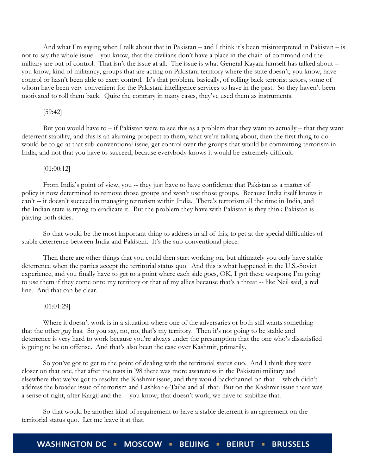And what I'm saying when I talk about that in Pakistan – and I think it's been misinterpreted in Pakistan – is not to say the whole issue – you know, that the civilians don't have a place in the chain of command and the military are out of control. That isn't the issue at all. The issue is what General Kayani himself has talked about – you know, kind of militancy, groups that are acting on Pakistani territory where the state doesn't, you know, have control or hasn't been able to exert control. It's that problem, basically, of rolling back terrorist actors, some of whom have been very convenient for the Pakistani intelligence services to have in the past. So they haven't been motivated to roll them back. Quite the contrary in many cases, they've used them as instruments.

#### [59:42]

But you would have to – if Pakistan were to see this as a problem that they want to actually – that they want deterrent stability, and this is an alarming prospect to them, what we're talking about, then the first thing to do would be to go at that sub-conventional issue, get control over the groups that would be committing terrorism in India, and not that you have to succeed, because everybody knows it would be extremely difficult.

#### [01:00:12]

From India's point of view, you -- they just have to have confidence that Pakistan as a matter of policy is now determined to remove those groups and won't use those groups. Because India itself knows it can't -- it doesn't succeed in managing terrorism within India. There's terrorism all the time in India, and the Indian state is trying to eradicate it. But the problem they have with Pakistan is they think Pakistan is playing both sides.

So that would be the most important thing to address in all of this, to get at the special difficulties of stable deterrence between India and Pakistan. It's the sub-conventional piece.

Then there are other things that you could then start working on, but ultimately you only have stable deterrence when the parties accept the territorial status quo. And this is what happened in the U.S.-Soviet experience, and you finally have to get to a point where each side goes, OK, I got these weapons; I'm going to use them if they come onto my territory or that of my allies because that's a threat -- like Neil said, a red line. And that can be clear.

#### [01:01:29]

Where it doesn't work is in a situation where one of the adversaries or both still wants something that the other guy has. So you say, no, no, that's my territory. Then it's not going to be stable and deterrence is very hard to work because you're always under the presumption that the one who's dissatisfied is going to be on offense. And that's also been the case over Kashmir, primarily.

So you've got to get to the point of dealing with the territorial status quo. And I think they were closer on that one, that after the tests in '98 there was more awareness in the Pakistani military and elsewhere that we've got to resolve the Kashmir issue, and they would backchannel on that -- which didn't address the broader issue of terrorism and Lashkar-e-Taiba and all that. But on the Kashmir issue there was a sense of right, after Kargil and the -- you know, that doesn't work; we have to stabilize that.

So that would be another kind of requirement to have a stable deterrent is an agreement on the territorial status quo. Let me leave it at that.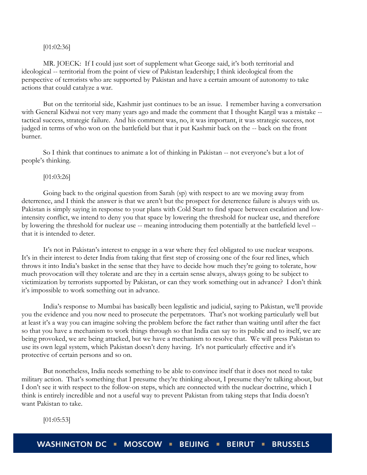#### [01:02:36]

MR. JOECK: If I could just sort of supplement what George said, it's both territorial and ideological -- territorial from the point of view of Pakistan leadership; I think ideological from the perspective of terrorists who are supported by Pakistan and have a certain amount of autonomy to take actions that could catalyze a war.

But on the territorial side, Kashmir just continues to be an issue. I remember having a conversation with General Kidwai not very many years ago and made the comment that I thought Kargil was a mistake - tactical success, strategic failure. And his comment was, no, it was important, it was strategic success, not judged in terms of who won on the battlefield but that it put Kashmir back on the -- back on the front burner.

So I think that continues to animate a lot of thinking in Pakistan -- not everyone's but a lot of people's thinking.

#### [01:03:26]

Going back to the original question from Sarah (sp) with respect to are we moving away from deterrence, and I think the answer is that we aren't but the prospect for deterrence failure is always with us. Pakistan is simply saying in response to your plans with Cold Start to find space between escalation and lowintensity conflict, we intend to deny you that space by lowering the threshold for nuclear use, and therefore by lowering the threshold for nuclear use -- meaning introducing them potentially at the battlefield level - that it is intended to deter.

It's not in Pakistan's interest to engage in a war where they feel obligated to use nuclear weapons. It's in their interest to deter India from taking that first step of crossing one of the four red lines, which throws it into India's basket in the sense that they have to decide how much they're going to tolerate, how much provocation will they tolerate and are they in a certain sense always, always going to be subject to victimization by terrorists supported by Pakistan, or can they work something out in advance? I don't think it's impossible to work something out in advance.

India's response to Mumbai has basically been legalistic and judicial, saying to Pakistan, we'll provide you the evidence and you now need to prosecute the perpetrators. That's not working particularly well but at least it's a way you can imagine solving the problem before the fact rather than waiting until after the fact so that you have a mechanism to work things through so that India can say to its public and to itself, we are being provoked, we are being attacked, but we have a mechanism to resolve that. We will press Pakistan to use its own legal system, which Pakistan doesn't deny having. It's not particularly effective and it's protective of certain persons and so on.

But nonetheless, India needs something to be able to convince itself that it does not need to take military action. That's something that I presume they're thinking about, I presume they're talking about, but I don't see it with respect to the follow-on steps, which are connected with the nuclear doctrine, which I think is entirely incredible and not a useful way to prevent Pakistan from taking steps that India doesn't want Pakistan to take.

[01:05:53]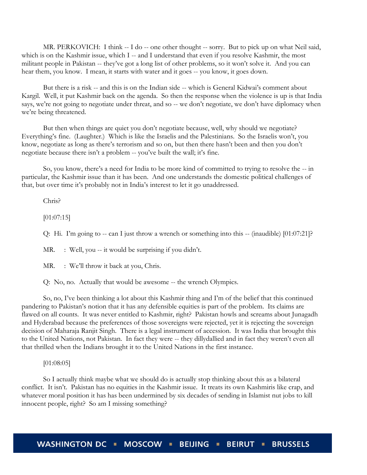MR. PERKOVICH: I think -- I do -- one other thought -- sorry. But to pick up on what Neil said, which is on the Kashmir issue, which I -- and I understand that even if you resolve Kashmir, the most militant people in Pakistan -- they've got a long list of other problems, so it won't solve it. And you can hear them, you know. I mean, it starts with water and it goes -- you know, it goes down.

But there is a risk -- and this is on the Indian side -- which is General Kidwai's comment about Kargil. Well, it put Kashmir back on the agenda. So then the response when the violence is up is that India says, we're not going to negotiate under threat, and so -- we don't negotiate, we don't have diplomacy when we're being threatened.

But then when things are quiet you don't negotiate because, well, why should we negotiate? Everything's fine. (Laughter.) Which is like the Israelis and the Palestinians. So the Israelis won't, you know, negotiate as long as there's terrorism and so on, but then there hasn't been and then you don't negotiate because there isn't a problem -- you've built the wall; it's fine.

So, you know, there's a need for India to be more kind of committed to trying to resolve the -- in particular, the Kashmir issue than it has been. And one understands the domestic political challenges of that, but over time it's probably not in India's interest to let it go unaddressed.

Chris?

[01:07:15]

Q: Hi. I'm going to -- can I just throw a wrench or something into this -- (inaudible) [01:07:21]?

MR. : Well, you -- it would be surprising if you didn't.

MR. : We'll throw it back at you, Chris.

Q: No, no. Actually that would be awesome -- the wrench Olympics.

So, no, I've been thinking a lot about this Kashmir thing and I'm of the belief that this continued pandering to Pakistan's notion that it has any defensible equities is part of the problem. Its claims are flawed on all counts. It was never entitled to Kashmir, right? Pakistan howls and screams about Junagadh and Hyderabad because the preferences of those sovereigns were rejected, yet it is rejecting the sovereign decision of Maharaja Ranjit Singh. There is a legal instrument of accession. It was India that brought this to the United Nations, not Pakistan. In fact they were -- they dillydallied and in fact they weren't even all that thrilled when the Indians brought it to the United Nations in the first instance.

[01:08:05]

So I actually think maybe what we should do is actually stop thinking about this as a bilateral conflict. It isn't. Pakistan has no equities in the Kashmir issue. It treats its own Kashmiris like crap, and whatever moral position it has has been undermined by six decades of sending in Islamist nut jobs to kill innocent people, right? So am I missing something?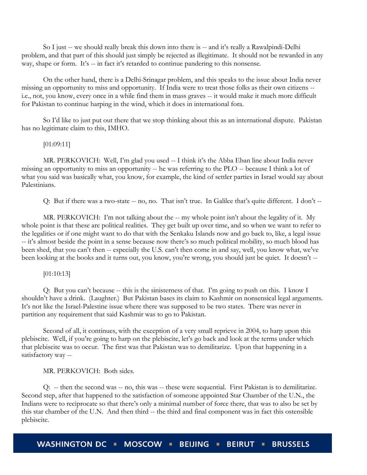So I just -- we should really break this down into there is -- and it's really a Rawalpindi-Delhi problem, and that part of this should just simply be rejected as illegitimate. It should not be rewarded in any way, shape or form. It's -- in fact it's retarded to continue pandering to this nonsense.

On the other hand, there is a Delhi-Srinagar problem, and this speaks to the issue about India never missing an opportunity to miss and opportunity. If India were to treat those folks as their own citizens - i.e., not, you know, every once in a while find them in mass graves -- it would make it much more difficult for Pakistan to continue harping in the wind, which it does in international fora.

So I'd like to just put out there that we stop thinking about this as an international dispute. Pakistan has no legitimate claim to this, IMHO.

#### [01:09:11]

MR. PERKOVICH: Well, I'm glad you used -- I think it's the Abba Eban line about India never missing an opportunity to miss an opportunity -- he was referring to the PLO -- because I think a lot of what you said was basically what, you know, for example, the kind of settler parties in Israel would say about Palestinians.

Q: But if there was a two-state -- no, no. That isn't true. In Galilee that's quite different. I don't --

MR. PERKOVICH: I'm not talking about the -- my whole point isn't about the legality of it. My whole point is that these are political realities. They get built up over time, and so when we want to refer to the legalities or if one might want to do that with the Senkaku Islands now and go back to, like, a legal issue -- it's almost beside the point in a sense because now there's so much political mobility, so much blood has been shed, that you can't then -- especially the U.S. can't then come in and say, well, you know what, we've been looking at the books and it turns out, you know, you're wrong, you should just be quiet. It doesn't --

#### [01:10:13]

Q: But you can't because -- this is the sinisterness of that. I'm going to push on this. I know I shouldn't have a drink. (Laughter.) But Pakistan bases its claim to Kashmir on nonsensical legal arguments. It's not like the Israel-Palestine issue where there was supposed to be two states. There was never in partition any requirement that said Kashmir was to go to Pakistan.

Second of all, it continues, with the exception of a very small reprieve in 2004, to harp upon this plebiscite. Well, if you're going to harp on the plebiscite, let's go back and look at the terms under which that plebiscite was to occur. The first was that Pakistan was to demilitarize. Upon that happening in a satisfactory way --

#### MR. PERKOVICH: Both sides.

Q: -- then the second was -- no, this was -- these were sequential. First Pakistan is to demilitarize. Second step, after that happened to the satisfaction of someone appointed Star Chamber of the U.N., the Indians were to reciprocate so that there's only a minimal number of force there, that was to also be set by this star chamber of the U.N. And then third -- the third and final component was in fact this ostensible plebiscite.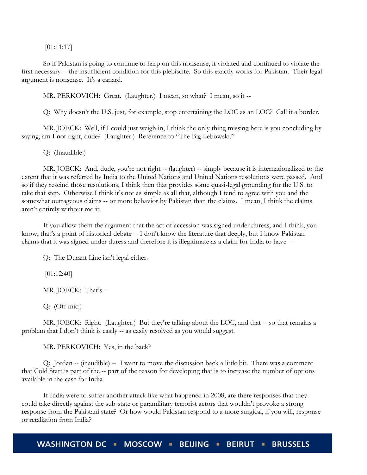[01:11:17]

So if Pakistan is going to continue to harp on this nonsense, it violated and continued to violate the first necessary -- the insufficient condition for this plebiscite. So this exactly works for Pakistan. Their legal argument is nonsense. It's a canard.

MR. PERKOVICH: Great. (Laughter.) I mean, so what? I mean, so it --

Q: Why doesn't the U.S. just, for example, stop entertaining the LOC as an LOC? Call it a border.

MR. JOECK: Well, if I could just weigh in, I think the only thing missing here is you concluding by saying, am I not right, dude? (Laughter.) Reference to "The Big Lebowski."

Q: (Inaudible.)

MR. JOECK: And, dude, you're not right -- (laughter) -- simply because it is internationalized to the extent that it was referred by India to the United Nations and United Nations resolutions were passed. And so if they rescind those resolutions, I think then that provides some quasi-legal grounding for the U.S. to take that step. Otherwise I think it's not as simple as all that, although I tend to agree with you and the somewhat outrageous claims -- or more behavior by Pakistan than the claims. I mean, I think the claims aren't entirely without merit.

If you allow them the argument that the act of accession was signed under duress, and I think, you know, that's a point of historical debate -- I don't know the literature that deeply, but I know Pakistan claims that it was signed under duress and therefore it is illegitimate as a claim for India to have --

Q: The Durant Line isn't legal either.

[01:12:40]

MR. JOECK: That's --

Q: (Off mic.)

MR. JOECK: Right. (Laughter.) But they're talking about the LOC, and that -- so that remains a problem that I don't think is easily -- as easily resolved as you would suggest.

MR. PERKOVICH: Yes, in the back?

Q: Jordan -- (inaudible) -- I want to move the discussion back a little bit. There was a comment that Cold Start is part of the -- part of the reason for developing that is to increase the number of options available in the case for India.

If India were to suffer another attack like what happened in 2008, are there responses that they could take directly against the sub-state or paramilitary terrorist actors that wouldn't provoke a strong response from the Pakistani state? Or how would Pakistan respond to a more surgical, if you will, response or retaliation from India?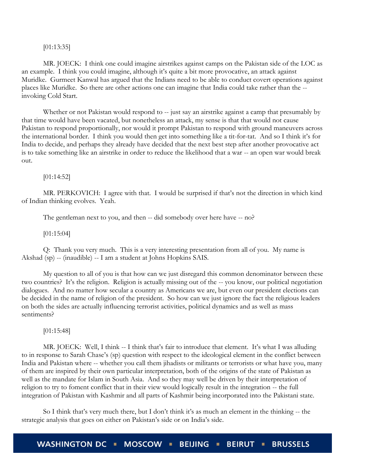#### [01:13:35]

MR. JOECK: I think one could imagine airstrikes against camps on the Pakistan side of the LOC as an example. I think you could imagine, although it's quite a bit more provocative, an attack against Muridke. Gurmeet Kanwal has argued that the Indians need to be able to conduct covert operations against places like Muridke. So there are other actions one can imagine that India could take rather than the - invoking Cold Start.

Whether or not Pakistan would respond to  $-$  just say an airstrike against a camp that presumably by that time would have been vacated, but nonetheless an attack, my sense is that that would not cause Pakistan to respond proportionally, nor would it prompt Pakistan to respond with ground maneuvers across the international border. I think you would then get into something like a tit-for-tat. And so I think it's for India to decide, and perhaps they already have decided that the next best step after another provocative act is to take something like an airstrike in order to reduce the likelihood that a war -- an open war would break out.

[01:14:52]

MR. PERKOVICH: I agree with that. I would be surprised if that's not the direction in which kind of Indian thinking evolves. Yeah.

The gentleman next to you, and then -- did somebody over here have -- no?

[01:15:04]

Q: Thank you very much. This is a very interesting presentation from all of you. My name is Akshad (sp) -- (inaudible) -- I am a student at Johns Hopkins SAIS.

My question to all of you is that how can we just disregard this common denominator between these two countries? It's the religion. Religion is actually missing out of the -- you know, our political negotiation dialogues. And no matter how secular a country as Americans we are, but even our president elections can be decided in the name of religion of the president. So how can we just ignore the fact the religious leaders on both the sides are actually influencing terrorist activities, political dynamics and as well as mass sentiments?

[01:15:48]

MR. JOECK: Well, I think -- I think that's fair to introduce that element. It's what I was alluding to in response to Sarah Chase's (sp) question with respect to the ideological element in the conflict between India and Pakistan where -- whether you call them jihadists or militants or terrorists or what have you, many of them are inspired by their own particular interpretation, both of the origins of the state of Pakistan as well as the mandate for Islam in South Asia. And so they may well be driven by their interpretation of religion to try to foment conflict that in their view would logically result in the integration -- the full integration of Pakistan with Kashmir and all parts of Kashmir being incorporated into the Pakistani state.

So I think that's very much there, but I don't think it's as much an element in the thinking -- the strategic analysis that goes on either on Pakistan's side or on India's side.

**WASHINGTON DC** MOSCOW - BEIJING -**BEIRUT BRUSSELS**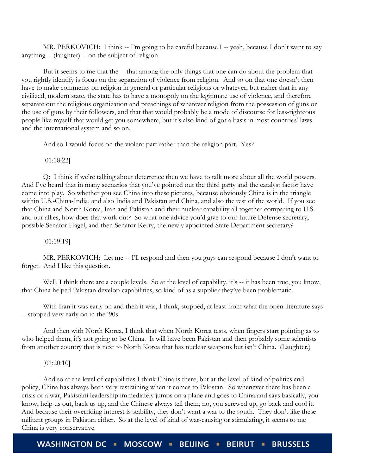MR. PERKOVICH: I think -- I'm going to be careful because I -- yeah, because I don't want to say anything -- (laughter) -- on the subject of religion.

But it seems to me that the -- that among the only things that one can do about the problem that you rightly identify is focus on the separation of violence from religion. And so on that one doesn't then have to make comments on religion in general or particular religions or whatever, but rather that in any civilized, modern state, the state has to have a monopoly on the legitimate use of violence, and therefore separate out the religious organization and preachings of whatever religion from the possession of guns or the use of guns by their followers, and that that would probably be a mode of discourse for less-righteous people like myself that would get you somewhere, but it's also kind of got a basis in most countries' laws and the international system and so on.

And so I would focus on the violent part rather than the religion part. Yes?

[01:18:22]

Q: I think if we're talking about deterrence then we have to talk more about all the world powers. And I've heard that in many scenarios that you've pointed out the third party and the catalyst factor have come into play. So whether you see China into these pictures, because obviously China is in the triangle within U.S.-China-India, and also India and Pakistan and China, and also the rest of the world. If you see that China and North Korea, Iran and Pakistan and their nuclear capability all together comparing to U.S. and our allies, how does that work out? So what one advice you'd give to our future Defense secretary, possible Senator Hagel, and then Senator Kerry, the newly appointed State Department secretary?

[01:19:19]

MR. PERKOVICH: Let me -- I'll respond and then you guys can respond because I don't want to forget. And I like this question.

Well, I think there are a couple levels. So at the level of capability, it's -- it has been true, you know, that China helped Pakistan develop capabilities, so kind of as a supplier they've been problematic.

With Iran it was early on and then it was, I think, stopped, at least from what the open literature says -- stopped very early on in the '90s.

And then with North Korea, I think that when North Korea tests, when fingers start pointing as to who helped them, it's not going to be China. It will have been Pakistan and then probably some scientists from another country that is next to North Korea that has nuclear weapons but isn't China. (Laughter.)

# [01:20:10]

And so at the level of capabilities I think China is there, but at the level of kind of politics and policy, China has always been very restraining when it comes to Pakistan. So whenever there has been a crisis or a war, Pakistani leadership immediately jumps on a plane and goes to China and says basically, you know, help us out, back us up, and the Chinese always tell them, no, you screwed up, go back and cool it. And because their overriding interest is stability, they don't want a war to the south. They don't like these militant groups in Pakistan either. So at the level of kind of war-causing or stimulating, it seems to me China is very conservative.

**WASHINGTON DC** MOSCOW BEIJING -**BEIRUT BRUSSELS**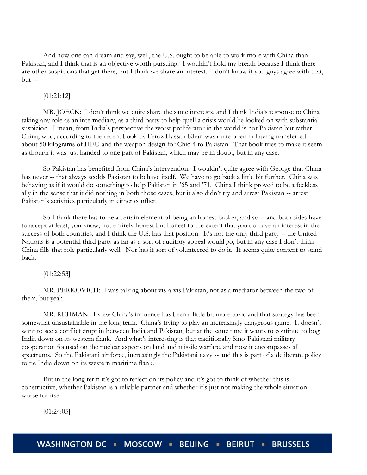And now one can dream and say, well, the U.S. ought to be able to work more with China than Pakistan, and I think that is an objective worth pursuing. I wouldn't hold my breath because I think there are other suspicions that get there, but I think we share an interest. I don't know if you guys agree with that, but --

[01:21:12]

MR. JOECK: I don't think we quite share the same interests, and I think India's response to China taking any role as an intermediary, as a third party to help quell a crisis would be looked on with substantial suspicion. I mean, from India's perspective the worst proliferator in the world is not Pakistan but rather China, who, according to the recent book by Feroz Hassan Khan was quite open in having transferred about 50 kilograms of HEU and the weapon design for Chic-4 to Pakistan. That book tries to make it seem as though it was just handed to one part of Pakistan, which may be in doubt, but in any case.

So Pakistan has benefited from China's intervention. I wouldn't quite agree with George that China has never -- that always scolds Pakistan to behave itself. We have to go back a little bit further. China was behaving as if it would do something to help Pakistan in '65 and '71. China I think proved to be a feckless ally in the sense that it did nothing in both those cases, but it also didn't try and arrest Pakistan -- arrest Pakistan's activities particularly in either conflict.

So I think there has to be a certain element of being an honest broker, and so -- and both sides have to accept at least, you know, not entirely honest but honest to the extent that you do have an interest in the success of both countries, and I think the U.S. has that position. It's not the only third party -- the United Nations is a potential third party as far as a sort of auditory appeal would go, but in any case I don't think China fills that role particularly well. Nor has it sort of volunteered to do it. It seems quite content to stand back.

[01:22:53]

MR. PERKOVICH: I was talking about vis-a-vis Pakistan, not as a mediator between the two of them, but yeah.

MR. REHMAN: I view China's influence has been a little bit more toxic and that strategy has been somewhat unsustainable in the long term. China's trying to play an increasingly dangerous game. It doesn't want to see a conflict erupt in between India and Pakistan, but at the same time it wants to continue to bog India down on its western flank. And what's interesting is that traditionally Sino-Pakistani military cooperation focused on the nuclear aspects on land and missile warfare, and now it encompasses all spectrums. So the Pakistani air force, increasingly the Pakistani navy -- and this is part of a deliberate policy to tie India down on its western maritime flank.

But in the long term it's got to reflect on its policy and it's got to think of whether this is constructive, whether Pakistan is a reliable partner and whether it's just not making the whole situation worse for itself.

[01:24:05]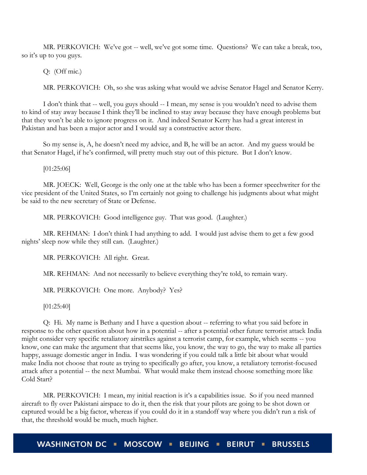MR. PERKOVICH: We've got -- well, we've got some time. Questions? We can take a break, too, so it's up to you guys.

Q: (Off mic.)

MR. PERKOVICH: Oh, so she was asking what would we advise Senator Hagel and Senator Kerry.

I don't think that -- well, you guys should -- I mean, my sense is you wouldn't need to advise them to kind of stay away because I think they'll be inclined to stay away because they have enough problems but that they won't be able to ignore progress on it. And indeed Senator Kerry has had a great interest in Pakistan and has been a major actor and I would say a constructive actor there.

So my sense is, A, he doesn't need my advice, and B, he will be an actor. And my guess would be that Senator Hagel, if he's confirmed, will pretty much stay out of this picture. But I don't know.

[01:25:06]

MR. JOECK: Well, George is the only one at the table who has been a former speechwriter for the vice president of the United States, so I'm certainly not going to challenge his judgments about what might be said to the new secretary of State or Defense.

MR. PERKOVICH: Good intelligence guy. That was good. (Laughter.)

MR. REHMAN: I don't think I had anything to add. I would just advise them to get a few good nights' sleep now while they still can. (Laughter.)

MR. PERKOVICH: All right. Great.

MR. REHMAN: And not necessarily to believe everything they're told, to remain wary.

MR. PERKOVICH: One more. Anybody? Yes?

[01:25:40]

Q: Hi. My name is Bethany and I have a question about -- referring to what you said before in response to the other question about how in a potential -- after a potential other future terrorist attack India might consider very specific retaliatory airstrikes against a terrorist camp, for example, which seems -- you know, one can make the argument that that seems like, you know, the way to go, the way to make all parties happy, assuage domestic anger in India. I was wondering if you could talk a little bit about what would make India not choose that route as trying to specifically go after, you know, a retaliatory terrorist-focused attack after a potential -- the next Mumbai. What would make them instead choose something more like Cold Start?

MR. PERKOVICH: I mean, my initial reaction is it's a capabilities issue. So if you need manned aircraft to fly over Pakistani airspace to do it, then the risk that your pilots are going to be shot down or captured would be a big factor, whereas if you could do it in a standoff way where you didn't run a risk of that, the threshold would be much, much higher.

WASHINGTON DC . MOSCOW . BEIJING . **BRUSSELS BEIRUT .**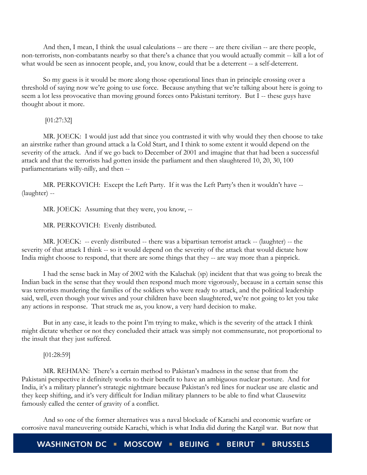And then, I mean, I think the usual calculations -- are there -- are there civilian -- are there people, non-terrorists, non-combatants nearby so that there's a chance that you would actually commit -- kill a lot of what would be seen as innocent people, and, you know, could that be a deterrent -- a self-deterrent.

So my guess is it would be more along those operational lines than in principle crossing over a threshold of saying now we're going to use force. Because anything that we're talking about here is going to seem a lot less provocative than moving ground forces onto Pakistani territory. But I -- these guys have thought about it more.

[01:27:32]

MR. JOECK: I would just add that since you contrasted it with why would they then choose to take an airstrike rather than ground attack a la Cold Start, and I think to some extent it would depend on the severity of the attack. And if we go back to December of 2001 and imagine that that had been a successful attack and that the terrorists had gotten inside the parliament and then slaughtered 10, 20, 30, 100 parliamentarians willy-nilly, and then --

MR. PERKOVICH: Except the Left Party. If it was the Left Party's then it wouldn't have -- (laughter) --

MR. JOECK: Assuming that they were, you know, --

MR. PERKOVICH: Evenly distributed.

MR. JOECK: -- evenly distributed -- there was a bipartisan terrorist attack -- (laughter) -- the severity of that attack I think -- so it would depend on the severity of the attack that would dictate how India might choose to respond, that there are some things that they -- are way more than a pinprick.

I had the sense back in May of 2002 with the Kalachak (sp) incident that that was going to break the Indian back in the sense that they would then respond much more vigorously, because in a certain sense this was terrorists murdering the families of the soldiers who were ready to attack, and the political leadership said, well, even though your wives and your children have been slaughtered, we're not going to let you take any actions in response. That struck me as, you know, a very hard decision to make.

But in any case, it leads to the point I'm trying to make, which is the severity of the attack I think might dictate whether or not they concluded their attack was simply not commensurate, not proportional to the insult that they just suffered.

[01:28:59]

MR. REHMAN: There's a certain method to Pakistan's madness in the sense that from the Pakistani perspective it definitely works to their benefit to have an ambiguous nuclear posture. And for India, it's a military planner's strategic nightmare because Pakistan's red lines for nuclear use are elastic and they keep shifting, and it's very difficult for Indian military planners to be able to find what Clausewitz famously called the center of gravity of a conflict.

And so one of the former alternatives was a naval blockade of Karachi and economic warfare or corrosive naval maneuvering outside Karachi, which is what India did during the Kargil war. But now that

WASHINGTON DC · MOSCOW · BEIJING · **BEIRUT . BRUSSELS**